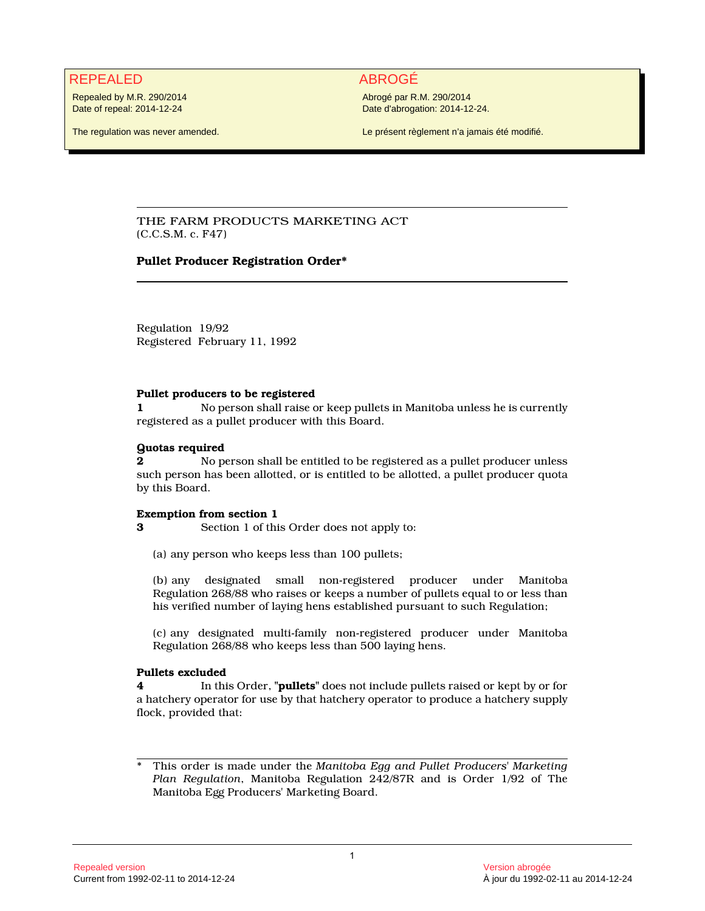# REPEALED ABROGÉ

Repealed by M.R. 290/2014 Date of repeal: 2014-12-24

The regulation was never amended.

Abrogé par R.M. 290/2014 Date d'abrogation: 2014-12-24.

Le présent règlement n'a jamais été modifié.

## THE FARM PRODUCTS MARKETING ACT (C.C.S.M. c. F47)

## **Pullet Producer Registration Order\***

Regulation 19/92 Registered February 11, 1992

#### **Pullet producers to be registered**

**1** No person shall raise or keep pullets in Manitoba unless he is currently registered as a pullet producer with this Board.

#### **Quotas required**

**2** No person shall be entitled to be registered as a pullet producer unless such person has been allotted, or is entitled to be allotted, a pullet producer quota by this Board.

#### **Exemption from section 1**

**3** Section 1 of this Order does not apply to:

(a) any person who keeps less than 100 pullets;

(b) any designated small non-registered producer under Manitoba Regulation 268/88 who raises or keeps a number of pullets equal to or less than his verified number of laying hens established pursuant to such Regulation;

(c) any designated multi-family non-registered producer under Manitoba Regulation 268/88 who keeps less than 500 laying hens.

## **Pullets excluded**

**4** In this Order, **"pullets"** does not include pullets raised or kept by or for a hatchery operator for use by that hatchery operator to produce a hatchery supply flock, provided that:

<sup>\*</sup> This order is made under the *Manitoba Egg and Pullet Producers' Marketing Plan Regulation*, Manitoba Regulation 242/87R and is Order 1/92 of The Manitoba Egg Producers' Marketing Board.